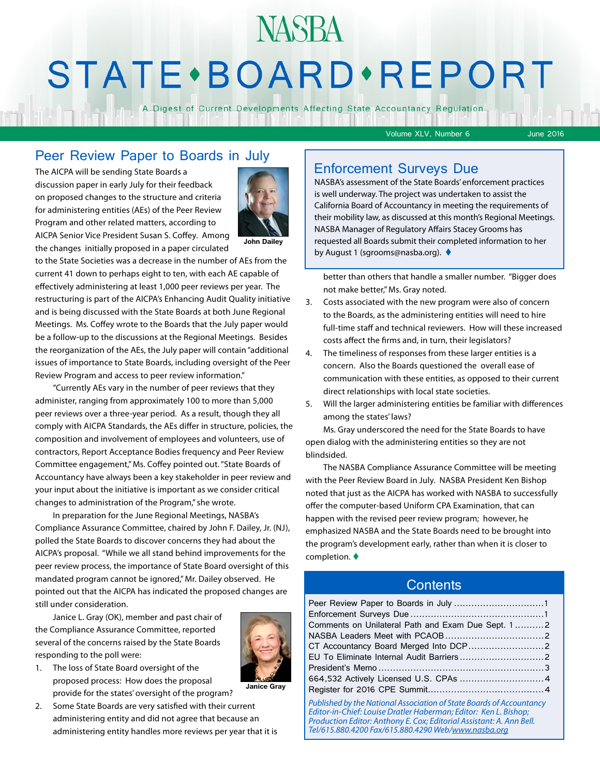# **NASBA STATE** · BOARD · REPORT

A Digest of Current Developments Affecting State Accountancy Regulation

Volume XLV, Number 6 June 2016

#### Peer Review Paper to Boards in July

The AICPA will be sending State Boards a discussion paper in early July for their feedback on proposed changes to the structure and criteria for administering entities (AEs) of the Peer Review Program and other related matters, according to AICPA Senior Vice President Susan S. Coffey. Among the changes initially proposed in a paper circulated



**John Dailey**

to the State Societies was a decrease in the number of AEs from the current 41 down to perhaps eight to ten, with each AE capable of effectively administering at least 1,000 peer reviews per year. The restructuring is part of the AICPA's Enhancing Audit Quality initiative and is being discussed with the State Boards at both June Regional Meetings. Ms. Coffey wrote to the Boards that the July paper would be a follow-up to the discussions at the Regional Meetings. Besides the reorganization of the AEs, the July paper will contain "additional issues of importance to State Boards, including oversight of the Peer Review Program and access to peer review information."

"Currently AEs vary in the number of peer reviews that they administer, ranging from approximately 100 to more than 5,000 peer reviews over a three-year period. As a result, though they all comply with AICPA Standards, the AEs differ in structure, policies, the composition and involvement of employees and volunteers, use of contractors, Report Acceptance Bodies frequency and Peer Review Committee engagement," Ms. Coffey pointed out. "State Boards of Accountancy have always been a key stakeholder in peer review and your input about the initiative is important as we consider critical changes to administration of the Program," she wrote.

In preparation for the June Regional Meetings, NASBA's Compliance Assurance Committee, chaired by John F. Dailey, Jr. (NJ), polled the State Boards to discover concerns they had about the AICPA's proposal. "While we all stand behind improvements for the peer review process, the importance of State Board oversight of this mandated program cannot be ignored," Mr. Dailey observed. He pointed out that the AICPA has indicated the proposed changes are still under consideration.

Janice L. Gray (OK), member and past chair of the Compliance Assurance Committee, reported several of the concerns raised by the State Boards responding to the poll were:



#### 1. The loss of State Board oversight of the proposed process: How does the proposal provide for the states' oversight of the program?

2. Some State Boards are very satisfied with their current administering entity and did not agree that because an administering entity handles more reviews per year that it is

#### Enforcement Surveys Due

NASBA's assessment of the State Boards' enforcement practices is well underway. The project was undertaken to assist the California Board of Accountancy in meeting the requirements of their mobility law, as discussed at this month's Regional Meetings. NASBA Manager of Regulatory Affairs Stacey Grooms has requested all Boards submit their completed information to her by August 1 (sgrooms@nasba.org). ♦

better than others that handle a smaller number. "Bigger does not make better," Ms. Gray noted.

- 3. Costs associated with the new program were also of concern to the Boards, as the administering entities will need to hire full-time staff and technical reviewers. How will these increased costs affect the firms and, in turn, their legislators?
- 4. The timeliness of responses from these larger entities is a concern. Also the Boards questioned the overall ease of communication with these entities, as opposed to their current direct relationships with local state societies.
- 5. Will the larger administering entities be familiar with differences among the states' laws?

Ms. Gray underscored the need for the State Boards to have open dialog with the administering entities so they are not blindsided.

The NASBA Compliance Assurance Committee will be meeting with the Peer Review Board in July. NASBA President Ken Bishop noted that just as the AICPA has worked with NASBA to successfully offer the computer-based Uniform CPA Examination, that can happen with the revised peer review program; however, he emphasized NASBA and the State Boards need to be brought into the program's development early, rather than when it is closer to completion.  $\blacklozenge$ 

#### **Contents**

| Comments on Unilateral Path and Exam Due Sept. 12                                                                                                                                                                                                                                                                                                                                                               |  |
|-----------------------------------------------------------------------------------------------------------------------------------------------------------------------------------------------------------------------------------------------------------------------------------------------------------------------------------------------------------------------------------------------------------------|--|
|                                                                                                                                                                                                                                                                                                                                                                                                                 |  |
|                                                                                                                                                                                                                                                                                                                                                                                                                 |  |
|                                                                                                                                                                                                                                                                                                                                                                                                                 |  |
|                                                                                                                                                                                                                                                                                                                                                                                                                 |  |
|                                                                                                                                                                                                                                                                                                                                                                                                                 |  |
|                                                                                                                                                                                                                                                                                                                                                                                                                 |  |
| Published by the National Association of State Boards of Accountancy<br>$\mathcal{L}^{(1)}$ . $\mathcal{L}^{(1)}$ , $\mathcal{L}^{(1)}$ , $\mathcal{L}^{(2)}$ , $\mathcal{L}^{(3)}$ , $\mathcal{L}^{(4)}$ , $\mathcal{L}^{(5)}$ , $\mathcal{L}^{(6)}$ , $\mathcal{L}^{(7)}$ , $\mathcal{L}^{(8)}$ , $\mathcal{L}^{(8)}$ , $\mathcal{L}^{(8)}$ , $\mathcal{L}^{(8)}$ , $\mathcal{L}^{(8)}$ , $\mathcal{L}^{(8)}$ |  |

*Editor-in-Chief: Louise Dratler Haberman; Editor: Ken L. Bishop; Production Editor: Anthony E. Cox; Editorial Assistant: A. Ann Bell. Tel/615.880.4200 Fax/615.880.4290 Web/[www.nasba.org](http://www.nasba.org)*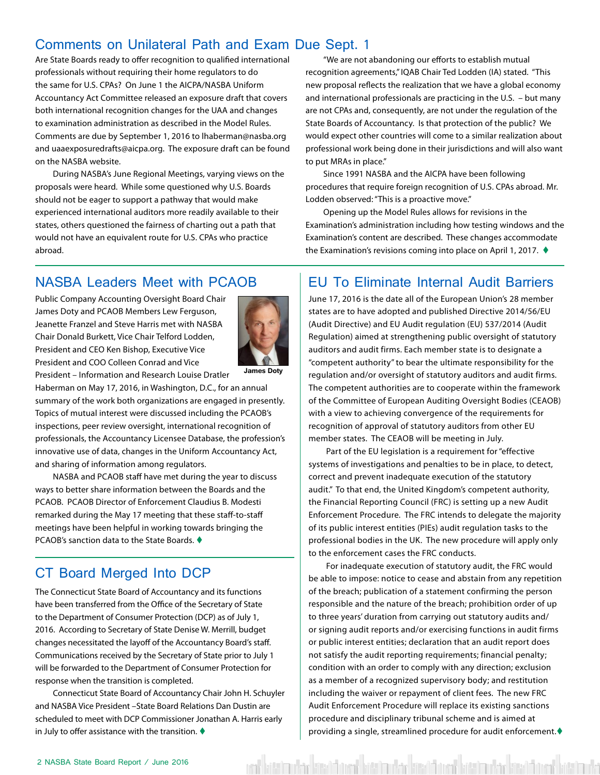#### <span id="page-1-0"></span>Comments on Unilateral Path and Exam Due Sept. 1

Are State Boards ready to offer recognition to qualified international professionals without requiring their home regulators to do the same for U.S. CPAs? On June 1 the AICPA/NASBA Uniform Accountancy Act Committee released an exposure draft that covers both international recognition changes for the UAA and changes to examination administration as described in the Model Rules. Comments are due by September 1, 2016 to lhaberman@nasba.org and uaaexposuredrafts@aicpa.org. The exposure draft can be found on the NASBA website.

During NASBA's June Regional Meetings, varying views on the proposals were heard. While some questioned why U.S. Boards should not be eager to support a pathway that would make experienced international auditors more readily available to their states, others questioned the fairness of charting out a path that would not have an equivalent route for U.S. CPAs who practice abroad.

"We are not abandoning our efforts to establish mutual recognition agreements," IQAB Chair Ted Lodden (IA) stated. "This new proposal reflects the realization that we have a global economy and international professionals are practicing in the U.S. – but many are not CPAs and, consequently, are not under the regulation of the State Boards of Accountancy. Is that protection of the public? We would expect other countries will come to a similar realization about professional work being done in their jurisdictions and will also want to put MRAs in place."

Since 1991 NASBA and the AICPA have been following procedures that require foreign recognition of U.S. CPAs abroad. Mr. Lodden observed: "This is a proactive move."

Opening up the Model Rules allows for revisions in the Examination's administration including how testing windows and the Examination's content are described. These changes accommodate the Examination's revisions coming into place on April 1, 2017.  $\blacklozenge$ 

#### NASBA Leaders Meet with PCAOB

Public Company Accounting Oversight Board Chair James Doty and PCAOB Members Lew Ferguson, Jeanette Franzel and Steve Harris met with NASBA Chair Donald Burkett, Vice Chair Telford Lodden, President and CEO Ken Bishop, Executive Vice President and COO Colleen Conrad and Vice President – Information and Research Louise Dratler



**James Doty**

Haberman on May 17, 2016, in Washington, D.C., for an annual summary of the work both organizations are engaged in presently. Topics of mutual interest were discussed including the PCAOB's inspections, peer review oversight, international recognition of professionals, the Accountancy Licensee Database, the profession's innovative use of data, changes in the Uniform Accountancy Act,

NASBA and PCAOB staff have met during the year to discuss ways to better share information between the Boards and the PCAOB. PCAOB Director of Enforcement Claudius B. Modesti remarked during the May 17 meeting that these staff-to-staff meetings have been helpful in working towards bringing the PCAOB's sanction data to the State Boards.  $\bullet$ 

#### CT Board Merged Into DCP

and sharing of information among regulators.

The Connecticut State Board of Accountancy and its functions have been transferred from the Office of the Secretary of State to the Department of Consumer Protection (DCP) as of July 1, 2016. According to Secretary of State Denise W. Merrill, budget changes necessitated the layoff of the Accountancy Board's staff. Communications received by the Secretary of State prior to July 1 will be forwarded to the Department of Consumer Protection for response when the transition is completed.

Connecticut State Board of Accountancy Chair John H. Schuyler and NASBA Vice President –State Board Relations Dan Dustin are scheduled to meet with DCP Commissioner Jonathan A. Harris early in July to offer assistance with the transition.  $\blacklozenge$ 

#### EU To Eliminate Internal Audit Barriers

June 17, 2016 is the date all of the European Union's 28 member states are to have adopted and published Directive 2014/56/EU (Audit Directive) and EU Audit regulation (EU) 537/2014 (Audit Regulation) aimed at strengthening public oversight of statutory auditors and audit firms. Each member state is to designate a "competent authority" to bear the ultimate responsibility for the regulation and/or oversight of statutory auditors and audit firms. The competent authorities are to cooperate within the framework of the Committee of European Auditing Oversight Bodies (CEAOB) with a view to achieving convergence of the requirements for recognition of approval of statutory auditors from other EU member states. The CEAOB will be meeting in July.

Part of the EU legislation is a requirement for "effective systems of investigations and penalties to be in place, to detect, correct and prevent inadequate execution of the statutory audit." To that end, the United Kingdom's competent authority, the Financial Reporting Council (FRC) is setting up a new Audit Enforcement Procedure. The FRC intends to delegate the majority of its public interest entities (PIEs) audit regulation tasks to the professional bodies in the UK. The new procedure will apply only to the enforcement cases the FRC conducts.

For inadequate execution of statutory audit, the FRC would be able to impose: notice to cease and abstain from any repetition of the breach; publication of a statement confirming the person responsible and the nature of the breach; prohibition order of up to three years' duration from carrying out statutory audits and/ or signing audit reports and/or exercising functions in audit firms or public interest entities; declaration that an audit report does not satisfy the audit reporting requirements; financial penalty; condition with an order to comply with any direction; exclusion as a member of a recognized supervisory body; and restitution including the waiver or repayment of client fees. The new FRC Audit Enforcement Procedure will replace its existing sanctions procedure and disciplinary tribunal scheme and is aimed at providing a single, streamlined procedure for audit enforcement. $\blacklozenge$ 

vad böttira við reistöð varð böttiraðar kinsið övað böttiraðar kinsið annað böttiraða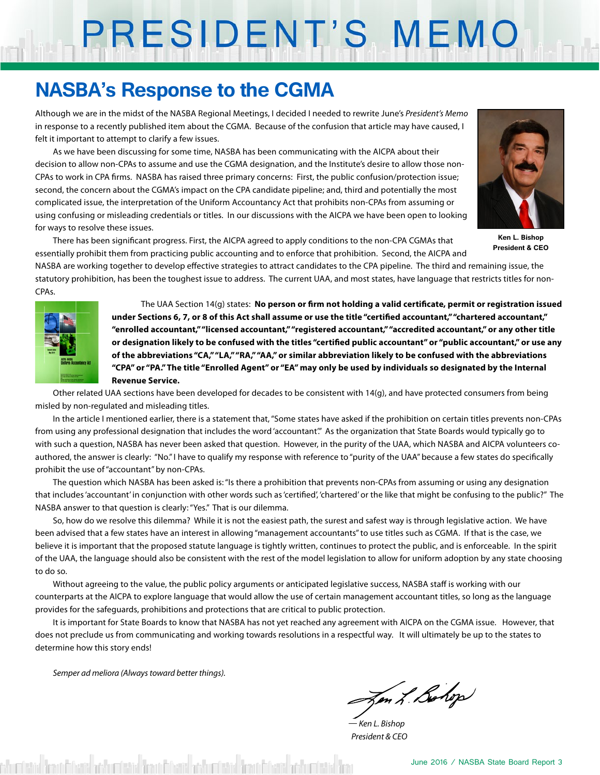# PRESIDENT'S MEMO

### **NASBA's Response to the CGMA**

Although we are in the midst of the NASBA Regional Meetings, I decided I needed to rewrite June's *President's Memo* in response to a recently published item about the CGMA. Because of the confusion that article may have caused, I felt it important to attempt to clarify a few issues.

As we have been discussing for some time, NASBA has been communicating with the AICPA about their decision to allow non-CPAs to assume and use the CGMA designation, and the Institute's desire to allow those non-CPAs to work in CPA firms. NASBA has raised three primary concerns: First, the public confusion/protection issue; second, the concern about the CGMA's impact on the CPA candidate pipeline; and, third and potentially the most complicated issue, the interpretation of the Uniform Accountancy Act that prohibits non-CPAs from assuming or using confusing or misleading credentials or titles. In our discussions with the AICPA we have been open to looking for ways to resolve these issues.

There has been significant progress. First, the AICPA agreed to apply conditions to the non-CPA CGMAs that essentially prohibit them from practicing public accounting and to enforce that prohibition. Second, the AICPA and



**Ken L. Bishop President & CEO**

NASBA are working together to develop effective strategies to attract candidates to the CPA pipeline. The third and remaining issue, the statutory prohibition, has been the toughest issue to address. The current UAA, and most states, have language that restricts titles for non-CPAs.



The UAA Section 14(g) states: **No person or firm not holding a valid certificate, permit or registration issued under Sections 6, 7, or 8 of this Act shall assume or use the title "certified accountant," "chartered accountant," "enrolled accountant," "licensed accountant," "registered accountant," "accredited accountant," or any other title or designation likely to be confused with the titles "certified public accountant" or "public accountant," or use any of the abbreviations "CA," "LA," "RA," "AA," or similar abbreviation likely to be confused with the abbreviations "CPA" or "PA." The title "Enrolled Agent" or "EA" may only be used by individuals so designated by the Internal Revenue Service.** 

Other related UAA sections have been developed for decades to be consistent with 14(g), and have protected consumers from being misled by non-regulated and misleading titles.

In the article I mentioned earlier, there is a statement that, "Some states have asked if the prohibition on certain titles prevents non-CPAs from using any professional designation that includes the word 'accountant". As the organization that State Boards would typically go to with such a question, NASBA has never been asked that question. However, in the purity of the UAA, which NASBA and AICPA volunteers coauthored, the answer is clearly: "No." I have to qualify my response with reference to "purity of the UAA" because a few states do specifically prohibit the use of "accountant" by non-CPAs.

The question which NASBA has been asked is: "Is there a prohibition that prevents non-CPAs from assuming or using any designation that includes 'accountant' in conjunction with other words such as 'certified', 'chartered' or the like that might be confusing to the public?" The NASBA answer to that question is clearly: "Yes." That is our dilemma.

So, how do we resolve this dilemma? While it is not the easiest path, the surest and safest way is through legislative action. We have been advised that a few states have an interest in allowing "management accountants" to use titles such as CGMA. If that is the case, we believe it is important that the proposed statute language is tightly written, continues to protect the public, and is enforceable. In the spirit of the UAA, the language should also be consistent with the rest of the model legislation to allow for uniform adoption by any state choosing to do so.

Without agreeing to the value, the public policy arguments or anticipated legislative success, NASBA staff is working with our counterparts at the AICPA to explore language that would allow the use of certain management accountant titles, so long as the language provides for the safeguards, prohibitions and protections that are critical to public protection.

It is important for State Boards to know that NASBA has not yet reached any agreement with AICPA on the CGMA issue. However, that does not preclude us from communicating and working towards resolutions in a respectful way. It will ultimately be up to the states to determine how this story ends!

*Semper ad meliora (Always toward better things).*

Im L. Bohop

*— Ken L. Bishop President & CEO*

misted from fileses and unitated from fileses and unitated from fileses and unitated